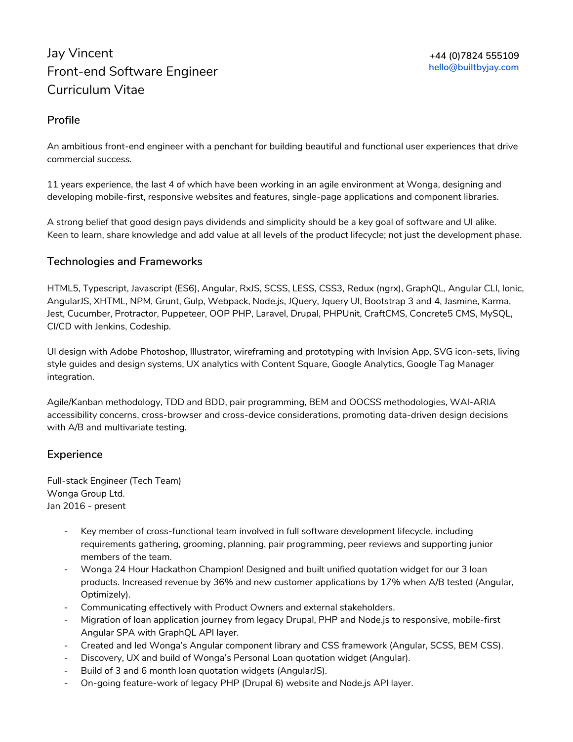# Jay Vincent Front-end Software Engineer Curriculum Vitae

### **Profile**

An ambitious front-end engineer with a penchant for building beautiful and functional user experiences that drive commercial success.

11 years experience, the last 4 of which have been working in an agile environment at Wonga, designing and developing mobile-first, responsive websites and features, single-page applications and component libraries.

A strong belief that good design pays dividends and simplicity should be a key goal of software and UI alike. Keen to learn, share knowledge and add value at all levels of the product lifecycle; not just the development phase.

## **Technologies and Frameworks**

HTML5, Typescript, Javascript (ES6), Angular, RxJS, SCSS, LESS, CSS3, Redux (ngrx), GraphQL, Angular CLI, Ionic, AngularJS, XHTML, NPM, Grunt, Gulp, Webpack, Node.js, JQuery, Jquery UI, Bootstrap 3 and 4, Jasmine, Karma, Jest, Cucumber, Protractor, Puppeteer, OOP PHP, Laravel, Drupal, PHPUnit, CraftCMS, Concrete5 CMS, MySQL, CI/CD with Jenkins, Codeship.

UI design with Adobe Photoshop, Illustrator, wireframing and prototyping with Invision App, SVG icon-sets, living style guides and design systems, UX analytics with Content Square, Google Analytics, Google Tag Manager integration.

Agile/Kanban methodology, TDD and BDD, pair programming, BEM and OOCSS methodologies, WAI-ARIA accessibility concerns, cross-browser and cross-device considerations, promoting data-driven design decisions with A/B and multivariate testing.

#### **Experience**

Full-stack Engineer (Tech Team) Wonga Group Ltd. Jan 2016 - present

- Key member of cross-functional team involved in full software development lifecycle, including requirements gathering, grooming, planning, pair programming, peer reviews and supporting junior members of the team.
- Wonga 24 Hour Hackathon Champion! Designed and built unified quotation widget for our 3 loan products. Increased revenue by 36% and new customer applications by 17% when A/B tested (Angular, Optimizely).
- Communicating effectively with Product Owners and external stakeholders.
- Migration of loan application journey from legacy Drupal, PHP and Node.js to responsive, mobile-first Angular SPA with GraphQL API layer.
- Created and led Wonga's Angular component library and CSS framework (Angular, SCSS, BEM CSS).
- Discovery, UX and build of Wonga's Personal Loan quotation widget (Angular).
- Build of 3 and 6 month loan quotation widgets (AngularJS).
- On-going feature-work of legacy PHP (Drupal 6) website and Node.js API layer.